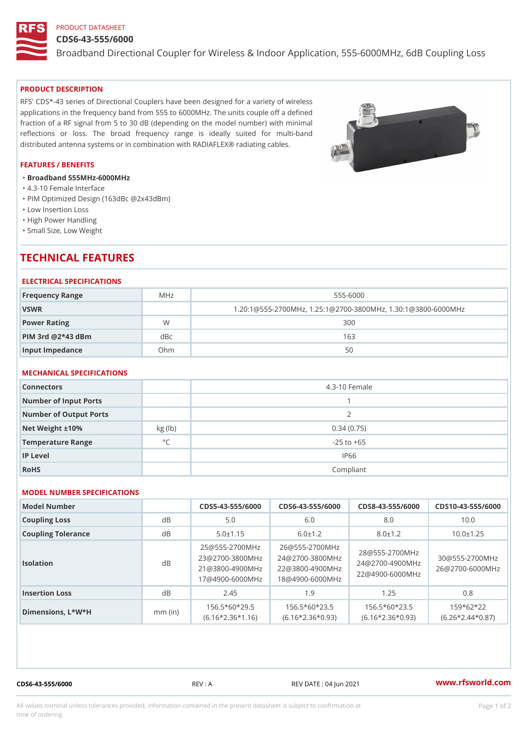# PRODUCT DATASHEET

### CDS6-43-555/6000

Broadband Directional Coupler for Wireless & Indoor Application, 555-6

### PRODUCT DESCRIPTION

RFS' CDS\*-43 series of Directional Couplers have been designed for a variety of wireless applications in the frequency band from 555 to 6000MHz. The units couple off a defined fraction of a RF signal from 5 to 30 dB (depending on the model number) with minimal reflections or loss. The broad frequency range is ideally suited for multi-band distributed antenna systems or in combination with RADIAFLEX® radiating cables.

### FEATURES / BENEFITS

- "Broadband 555MHz-6000MHz
- "4.3-10 Female Interface
- "PIM Optimized Design (163dBc @2x43dBm)
- "Low Insertion Loss
- "High Power Handling
- "Small Size, Low Weight

# TECHNICAL FEATURES

### ELECTRICAL SPECIFICATIONS

| Frequency Range         | MHz | $555 - 6000$                                          |  |
|-------------------------|-----|-------------------------------------------------------|--|
| VSWR                    |     | $1.20:1@555-2700MHz, 1.25:1@2700-3800MHz, 1.30:1@380$ |  |
| Power Rating            | W   | 300                                                   |  |
| $P$ IM 3rd @ $2*43$ dBm | dBc | 163                                                   |  |
| Input Impedance         | Ohm | 50                                                    |  |

# MECHANICAL SPECIFICATIONS

| Connectors             |              | 4.3-10 Female  |
|------------------------|--------------|----------------|
| Number of Input Ports  |              |                |
| Number of Output Ports |              | 2              |
| Net Weight $\pm 10\%$  | kg (lb)      | 0.34(0.75)     |
| Temperature Range      | $^{\circ}$ C | $-25$ to $+65$ |
| IP Level               |              | IP66           |
| RoHS                   |              | Compliant      |

### MODEL NUMBER SPECIFICATIONS

| Model Number       |           |                |               |                                              | $CDS5 - 43 - 555/600DS6 - 43 - 555/600DS8 - 43 - 555/600DS10 - 43 - 555/600DS10 - 43 - 555/60DS10 - 43 - 555/60DS10 - 43 - 555/60DS10 - 43 - 555/60DS10 - 43 - 555/60DS10 - 43 - 555/60DS10 - 43 - 555/60DS10 - 43 - 555/60DS10 - 43 - 555/60DS10 - 43 - 5$ |  |
|--------------------|-----------|----------------|---------------|----------------------------------------------|-------------------------------------------------------------------------------------------------------------------------------------------------------------------------------------------------------------------------------------------------------------|--|
| Coupling Loss      | $d \, B$  | 5.0            | 6.0           | 8.0                                          | 10.0                                                                                                                                                                                                                                                        |  |
| Coupling Tolerance | d B       | $5.0 \pm 1.15$ | $6.0 \pm 1.2$ | $8.0 \pm 1.2$                                | $10.0 \pm 1.25$                                                                                                                                                                                                                                             |  |
| Isolation          | d B       |                |               |                                              | 25 @ 555 - 2700 M H226 @ 555 - 2700 M H z<br>23 @ 2700 - 3800 M 2H z @ 2700 - 3800 M H z @ 555 - 2700 M H z<br>21 @ 3800 - 4900 M 2H 2 @ 3800 - 4900 M H z Z @ 4900 - 6000 M H z<br>17 @ 4900 - 6000 M H & @ 4900 - 6000 M H z @ 4900                       |  |
| Insertion Loss     | d B       | 2.45           | 1.9           | 1.25                                         | 0.8                                                                                                                                                                                                                                                         |  |
| Dimensions, L*W*H  | $mm$ (in) |                |               | $156.5*60*295$ $156.5*60*235$ $156.5*60*235$ | $159*62*22$<br>$(6.16 * 2.36 * 1.16)(6.16 * 2.36 * 0.93)(6.16 * 2.36 * 0.93)(6.26 * 2.44 * 0.87)$                                                                                                                                                           |  |

CDS6-43-555/6000 REV : A REV DATE : 04 Jun 2021 [www.](https://www.rfsworld.com)rfsworld.com